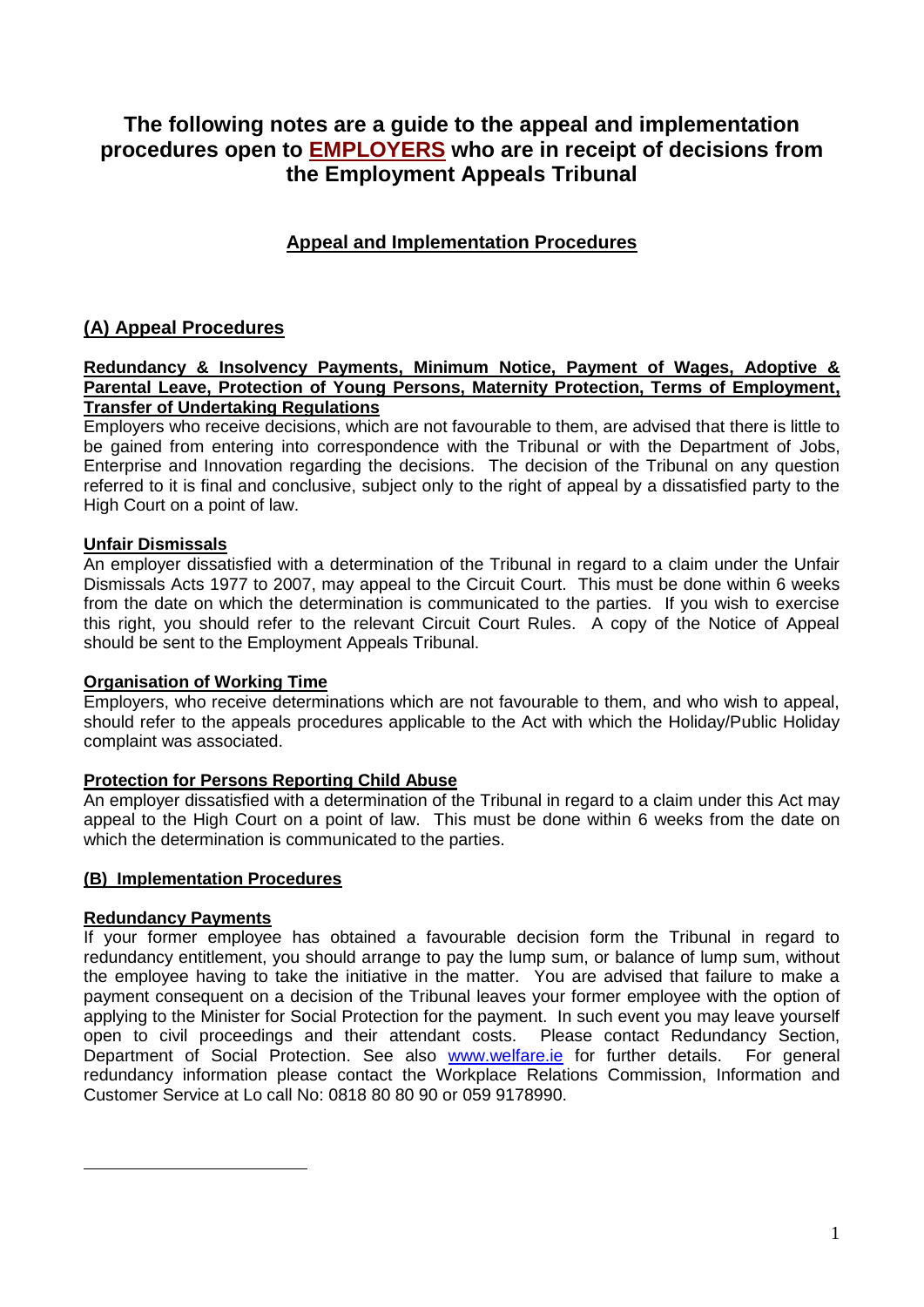# **The following notes are a guide to the appeal and implementation procedures open to EMPLOYERS who are in receipt of decisions from the Employment Appeals Tribunal**

## **Appeal and Implementation Procedures**

## **(A) Appeal Procedures**

#### **Redundancy & Insolvency Payments, Minimum Notice, Payment of Wages, Adoptive & Parental Leave, Protection of Young Persons, Maternity Protection, Terms of Employment, Transfer of Undertaking Regulations**

Employers who receive decisions, which are not favourable to them, are advised that there is little to be gained from entering into correspondence with the Tribunal or with the Department of Jobs, Enterprise and Innovation regarding the decisions. The decision of the Tribunal on any question referred to it is final and conclusive, subject only to the right of appeal by a dissatisfied party to the High Court on a point of law.

## **Unfair Dismissals**

An employer dissatisfied with a determination of the Tribunal in regard to a claim under the Unfair Dismissals Acts 1977 to 2007, may appeal to the Circuit Court. This must be done within 6 weeks from the date on which the determination is communicated to the parties. If you wish to exercise this right, you should refer to the relevant Circuit Court Rules. A copy of the Notice of Appeal should be sent to the Employment Appeals Tribunal.

## **Organisation of Working Time**

Employers, who receive determinations which are not favourable to them, and who wish to appeal, should refer to the appeals procedures applicable to the Act with which the Holiday/Public Holiday complaint was associated.

## **Protection for Persons Reporting Child Abuse**

An employer dissatisfied with a determination of the Tribunal in regard to a claim under this Act may appeal to the High Court on a point of law. This must be done within 6 weeks from the date on which the determination is communicated to the parties.

## **(B) Implementation Procedures**

## **Redundancy Payments**

If your former employee has obtained a favourable decision form the Tribunal in regard to redundancy entitlement, you should arrange to pay the lump sum, or balance of lump sum, without the employee having to take the initiative in the matter. You are advised that failure to make a payment consequent on a decision of the Tribunal leaves your former employee with the option of applying to the Minister for Social Protection for the payment. In such event you may leave yourself open to civil proceedings and their attendant costs. Please contact Redundancy Section, Department of Social Protection. See also [www.welfare.ie](http://www.welfare.ie/) for further details. For general redundancy information please contact the Workplace Relations Commission, Information and Customer Service at Lo call No: 0818 80 80 90 or 059 9178990.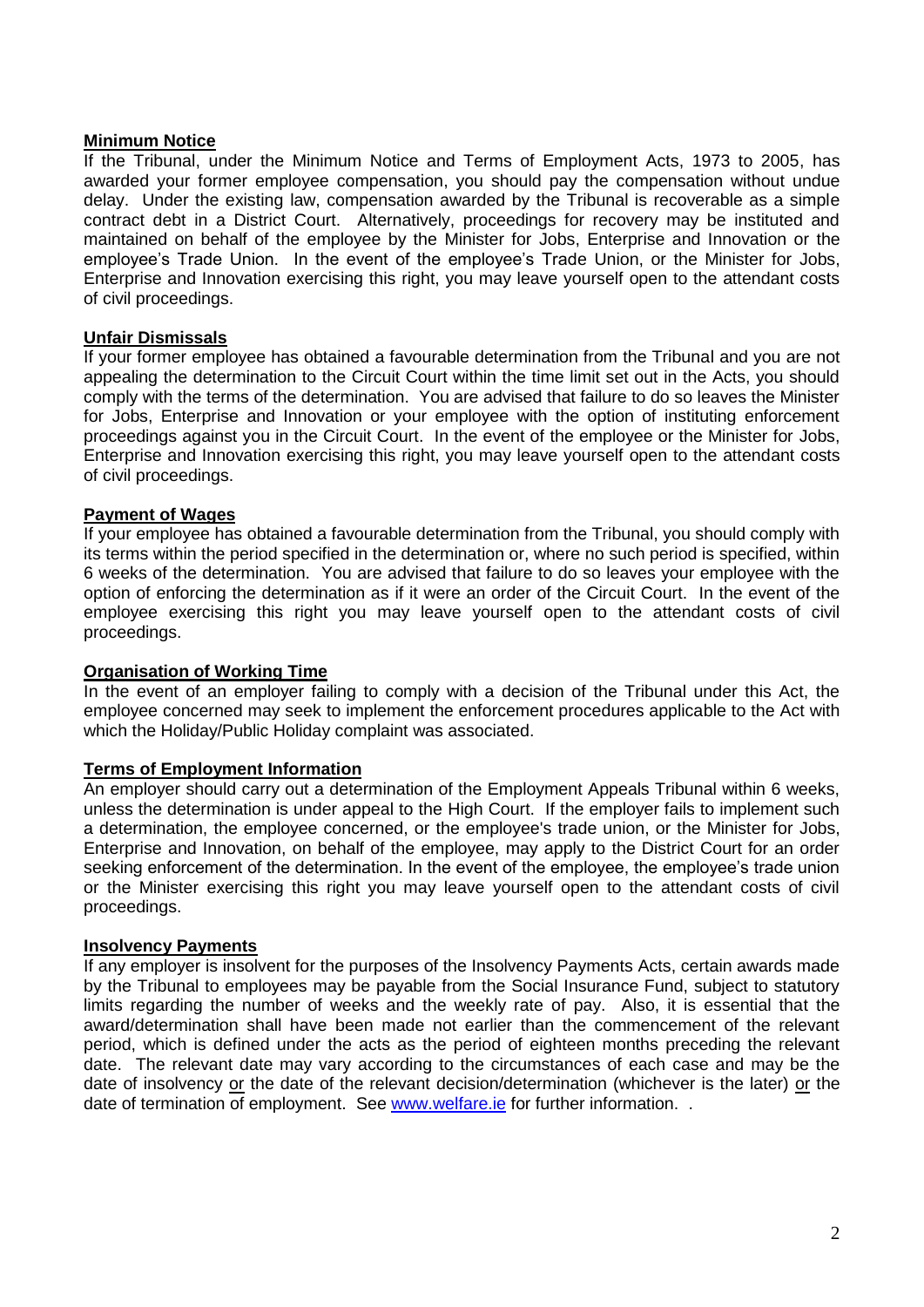## **Minimum Notice**

If the Tribunal, under the Minimum Notice and Terms of Employment Acts, 1973 to 2005, has awarded your former employee compensation, you should pay the compensation without undue delay. Under the existing law, compensation awarded by the Tribunal is recoverable as a simple contract debt in a District Court. Alternatively, proceedings for recovery may be instituted and maintained on behalf of the employee by the Minister for Jobs, Enterprise and Innovation or the employee's Trade Union. In the event of the employee's Trade Union, or the Minister for Jobs, Enterprise and Innovation exercising this right, you may leave yourself open to the attendant costs of civil proceedings.

## **Unfair Dismissals**

If your former employee has obtained a favourable determination from the Tribunal and you are not appealing the determination to the Circuit Court within the time limit set out in the Acts, you should comply with the terms of the determination. You are advised that failure to do so leaves the Minister for Jobs, Enterprise and Innovation or your employee with the option of instituting enforcement proceedings against you in the Circuit Court. In the event of the employee or the Minister for Jobs, Enterprise and Innovation exercising this right, you may leave yourself open to the attendant costs of civil proceedings.

## **Payment of Wages**

If your employee has obtained a favourable determination from the Tribunal, you should comply with its terms within the period specified in the determination or, where no such period is specified, within 6 weeks of the determination. You are advised that failure to do so leaves your employee with the option of enforcing the determination as if it were an order of the Circuit Court. In the event of the employee exercising this right you may leave yourself open to the attendant costs of civil proceedings.

## **Organisation of Working Time**

In the event of an employer failing to comply with a decision of the Tribunal under this Act, the employee concerned may seek to implement the enforcement procedures applicable to the Act with which the Holiday/Public Holiday complaint was associated.

## **Terms of Employment Information**

An employer should carry out a determination of the Employment Appeals Tribunal within 6 weeks, unless the determination is under appeal to the High Court. If the employer fails to implement such a determination, the employee concerned, or the employee's trade union, or the Minister for Jobs, Enterprise and Innovation, on behalf of the employee, may apply to the District Court for an order seeking enforcement of the determination. In the event of the employee, the employee's trade union or the Minister exercising this right you may leave yourself open to the attendant costs of civil proceedings.

## **Insolvency Payments**

If any employer is insolvent for the purposes of the Insolvency Payments Acts, certain awards made by the Tribunal to employees may be payable from the Social Insurance Fund, subject to statutory limits regarding the number of weeks and the weekly rate of pay. Also, it is essential that the award/determination shall have been made not earlier than the commencement of the relevant period, which is defined under the acts as the period of eighteen months preceding the relevant date. The relevant date may vary according to the circumstances of each case and may be the date of insolvency or the date of the relevant decision/determination (whichever is the later) or the date of termination of employment. See [www.welfare.ie](http://www.welfare.ie/) for further information..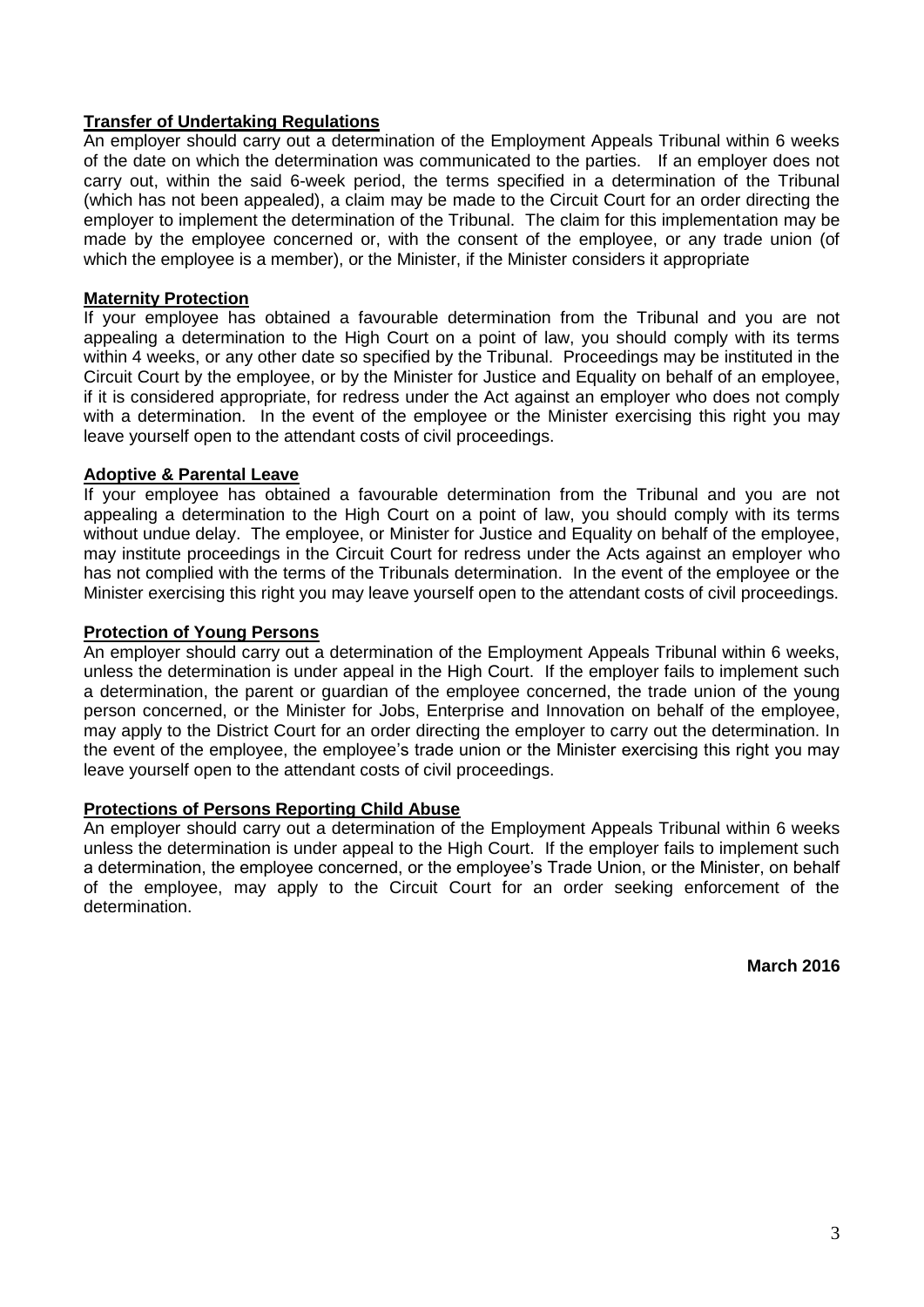## **Transfer of Undertaking Regulations**

An employer should carry out a determination of the Employment Appeals Tribunal within 6 weeks of the date on which the determination was communicated to the parties. If an employer does not carry out, within the said 6-week period, the terms specified in a determination of the Tribunal (which has not been appealed), a claim may be made to the Circuit Court for an order directing the employer to implement the determination of the Tribunal. The claim for this implementation may be made by the employee concerned or, with the consent of the employee, or any trade union (of which the employee is a member), or the Minister, if the Minister considers it appropriate

## **Maternity Protection**

If your employee has obtained a favourable determination from the Tribunal and you are not appealing a determination to the High Court on a point of law, you should comply with its terms within 4 weeks, or any other date so specified by the Tribunal. Proceedings may be instituted in the Circuit Court by the employee, or by the Minister for Justice and Equality on behalf of an employee, if it is considered appropriate, for redress under the Act against an employer who does not comply with a determination. In the event of the employee or the Minister exercising this right you may leave yourself open to the attendant costs of civil proceedings.

## **Adoptive & Parental Leave**

If your employee has obtained a favourable determination from the Tribunal and you are not appealing a determination to the High Court on a point of law, you should comply with its terms without undue delay. The employee, or Minister for Justice and Equality on behalf of the employee, may institute proceedings in the Circuit Court for redress under the Acts against an employer who has not complied with the terms of the Tribunals determination. In the event of the employee or the Minister exercising this right you may leave yourself open to the attendant costs of civil proceedings.

## **Protection of Young Persons**

An employer should carry out a determination of the Employment Appeals Tribunal within 6 weeks, unless the determination is under appeal in the High Court. If the employer fails to implement such a determination, the parent or guardian of the employee concerned, the trade union of the young person concerned, or the Minister for Jobs, Enterprise and Innovation on behalf of the employee, may apply to the District Court for an order directing the employer to carry out the determination. In the event of the employee, the employee's trade union or the Minister exercising this right you may leave yourself open to the attendant costs of civil proceedings.

## **Protections of Persons Reporting Child Abuse**

An employer should carry out a determination of the Employment Appeals Tribunal within 6 weeks unless the determination is under appeal to the High Court. If the employer fails to implement such a determination, the employee concerned, or the employee's Trade Union, or the Minister, on behalf of the employee, may apply to the Circuit Court for an order seeking enforcement of the determination.

**March 2016**